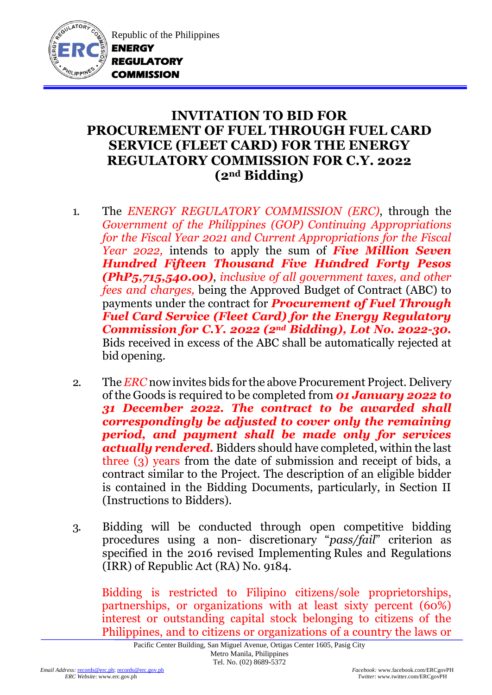

Republic of the Philippines **ENERGY REGULATORY COMMISSION** 

## **INVITATION TO BID FOR PROCUREMENT OF FUEL THROUGH FUEL CARD SERVICE (FLEET CARD) FOR THE ENERGY REGULATORY COMMISSION FOR C.Y. 2022 (2nd Bidding)**

- 1. The *ENERGY REGULATORY COMMISSION (ERC)*, through the *Government of the Philippines (GOP) Continuing Appropriations for the Fiscal Year 2021 and Current Appropriations for the Fiscal Year 2022,* intends to apply the sum of *Five Million Seven Hundred Fifteen Thousand Five Hundred Forty Pesos (PhP5,715,540.00)*, *inclusive of all government taxes, and other fees and charges,* being the Approved Budget of Contract (ABC) to payments under the contract for *Procurement of Fuel Through Fuel Card Service (Fleet Card) for the Energy Regulatory Commission for C.Y. 2022 (2nd Bidding), Lot No. 2022-30.* Bids received in excess of the ABC shall be automatically rejected at bid opening.
- 2. The *ERC* now invites bids for the above Procurement Project. Delivery of the Goods is required to be completed from *01 January 2022 to 31 December 2022. The contract to be awarded shall correspondingly be adjusted to cover only the remaining period, and payment shall be made only for services actually rendered.* Bidders should have completed, within the last three (3) years from the date of submission and receipt of bids, a contract similar to the Project. The description of an eligible bidder is contained in the Bidding Documents, particularly, in Section II (Instructions to Bidders).
- 3. Bidding will be conducted through open competitive bidding procedures using a non- discretionary "*pass/fail*" criterion as specified in the 2016 revised Implementing Rules and Regulations (IRR) of Republic Act (RA) No. 9184.

Bidding is restricted to Filipino citizens/sole proprietorships, partnerships, or organizations with at least sixty percent (60%) interest or outstanding capital stock belonging to citizens of the Philippines, and to citizens or organizations of a country the laws or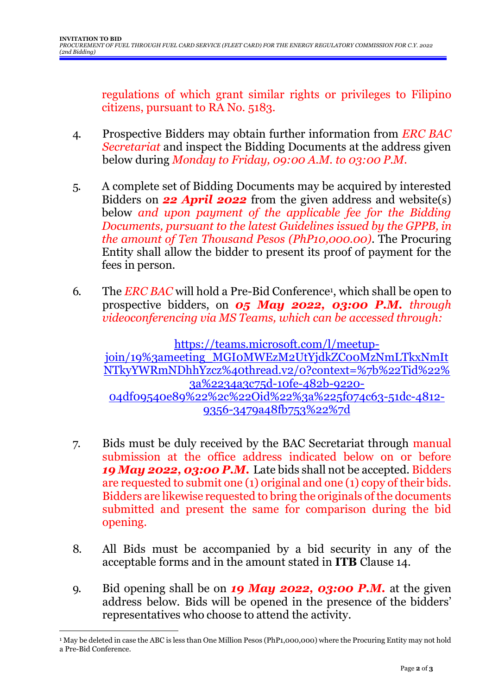regulations of which grant similar rights or privileges to Filipino citizens, pursuant to RA No. 5183.

- 4. Prospective Bidders may obtain further information from *ERC BAC Secretariat* and inspect the Bidding Documents at the address given below during *Monday to Friday, 09:00 A.M. to 03:00 P.M*.
- 5. A complete set of Bidding Documents may be acquired by interested Bidders on *22 April 2022* from the given address and website(s) below *and upon payment of the applicable fee for the Bidding Documents, pursuant to the latest Guidelines issued by the GPPB, in the amount of Ten Thousand Pesos (PhP10,000.00)*. The Procuring Entity shall allow the bidder to present its proof of payment for the fees in person.
- 6. The *ERC BAC* will hold a Pre-Bid Conference<sup>1</sup>, which shall be open to prospective bidders, on *05 May 2022, 03:00 P.M. through videoconferencing via MS Teams, which can be accessed through:*

[https://teams.microsoft.com/l/meetup](https://teams.microsoft.com/l/meetup-join/19%3ameeting_MGI0MWEzM2UtYjdkZC00MzNmLTkxNmItNTkyYWRmNDhhYzcz%40thread.v2/0?context=%7b%22Tid%22%3a%2234a3c75d-10fe-482b-9220-04df09540e89%22%2c%22Oid%22%3a%225f074c63-51dc-4812-9356-3479a48fb753%22%7d)[join/19%3ameeting\\_MGI0MWEzM2UtYjdkZC00MzNmLTkxNmIt](https://teams.microsoft.com/l/meetup-join/19%3ameeting_MGI0MWEzM2UtYjdkZC00MzNmLTkxNmItNTkyYWRmNDhhYzcz%40thread.v2/0?context=%7b%22Tid%22%3a%2234a3c75d-10fe-482b-9220-04df09540e89%22%2c%22Oid%22%3a%225f074c63-51dc-4812-9356-3479a48fb753%22%7d) [NTkyYWRmNDhhYzcz%40thread.v2/0?context=%7b%22Tid%22%](https://teams.microsoft.com/l/meetup-join/19%3ameeting_MGI0MWEzM2UtYjdkZC00MzNmLTkxNmItNTkyYWRmNDhhYzcz%40thread.v2/0?context=%7b%22Tid%22%3a%2234a3c75d-10fe-482b-9220-04df09540e89%22%2c%22Oid%22%3a%225f074c63-51dc-4812-9356-3479a48fb753%22%7d) [3a%2234a3c75d-10fe-482b-9220-](https://teams.microsoft.com/l/meetup-join/19%3ameeting_MGI0MWEzM2UtYjdkZC00MzNmLTkxNmItNTkyYWRmNDhhYzcz%40thread.v2/0?context=%7b%22Tid%22%3a%2234a3c75d-10fe-482b-9220-04df09540e89%22%2c%22Oid%22%3a%225f074c63-51dc-4812-9356-3479a48fb753%22%7d) [04df09540e89%22%2c%22Oid%22%3a%225f074c63-51dc-4812-](https://teams.microsoft.com/l/meetup-join/19%3ameeting_MGI0MWEzM2UtYjdkZC00MzNmLTkxNmItNTkyYWRmNDhhYzcz%40thread.v2/0?context=%7b%22Tid%22%3a%2234a3c75d-10fe-482b-9220-04df09540e89%22%2c%22Oid%22%3a%225f074c63-51dc-4812-9356-3479a48fb753%22%7d) [9356-3479a48fb753%22%7d](https://teams.microsoft.com/l/meetup-join/19%3ameeting_MGI0MWEzM2UtYjdkZC00MzNmLTkxNmItNTkyYWRmNDhhYzcz%40thread.v2/0?context=%7b%22Tid%22%3a%2234a3c75d-10fe-482b-9220-04df09540e89%22%2c%22Oid%22%3a%225f074c63-51dc-4812-9356-3479a48fb753%22%7d)

- 7. Bids must be duly received by the BAC Secretariat through manual submission at the office address indicated below on or before *19 May 2022, 03:00 P.M.* Late bids shall not be accepted. Bidders are requested to submit one (1) original and one (1) copy of their bids. Bidders are likewise requested to bring the originals of the documents submitted and present the same for comparison during the bid opening.
- 8. All Bids must be accompanied by a bid security in any of the acceptable forms and in the amount stated in **ITB** Clause 14.
- 9. Bid opening shall be on *19 May 2022, 03:00 P.M.* at the given address below. Bids will be opened in the presence of the bidders' representatives who choose to attend the activity.

1

<sup>1</sup> May be deleted in case the ABC is less than One Million Pesos (PhP1,000,000) where the Procuring Entity may not hold a Pre-Bid Conference.